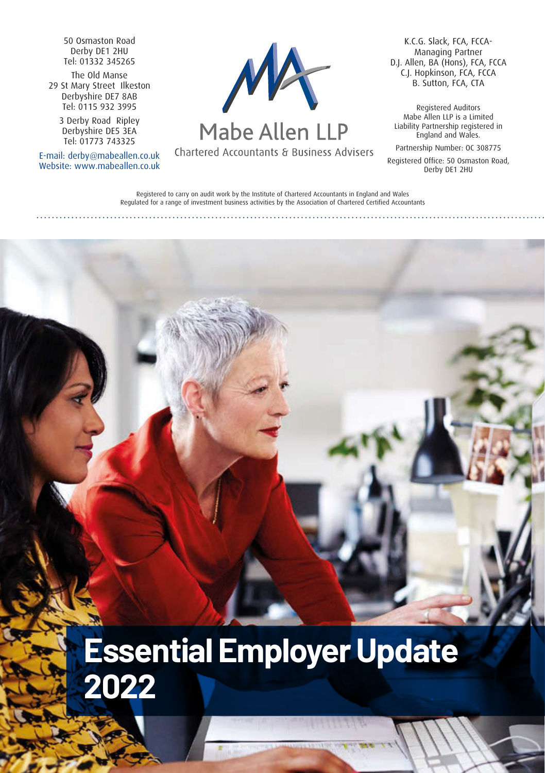50 Osmaston Road Derby DE1 2HU Tel: 01332 345265

The Old Manse 29 St Mary Street Ilkeston Derbyshire DE7 8AB Tel: 0115 932 3995

3 Derby Road Ripley Derbyshire DE5 3EA Tel: 01773 743325

E-mail: derby@mabeallen.co.uk Website: www.mabeallen.co.uk



## Mabe Allen LLP

Chartered Accountants & Business Advisers

K.C.G. Slack, FCA, FCCA-Managing Partner D.J. Allen, BA (Hons), FCA, FCCA C.J. Hopkinson, FCA, FCCA B. Sutton, FCA, CTA

Registered Auditors Mabe Allen LLP is a Limited Liability Partnership registered in England and Wales.

Partnership Number: OC 308775

Registered Office: 50 Osmaston Road, Derby DE1 2HU

Registered to carry on audit work by the Institute of Chartered Accountants in England and Wales Regulated for a range of investment business activities by the Association of Chartered Certified Accountants

# **Essential Employer Update 2022**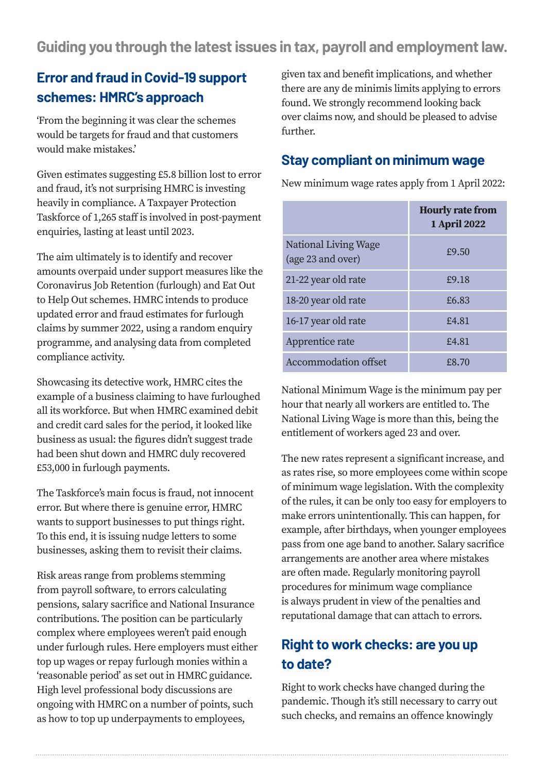**Guiding you through the latest issues in tax, payroll and employment law.**

#### **Error and fraud in Covid-19 support schemes: HMRC's approach**

'From the beginning it was clear the schemes would be targets for fraud and that customers would make mistakes.'

Given estimates suggesting £5.8 billion lost to error and fraud, it's not surprising HMRC is investing heavily in compliance. A Taxpayer Protection Taskforce of 1,265 staff is involved in post-payment enquiries, lasting at least until 2023.

The aim ultimately is to identify and recover amounts overpaid under support measures like the Coronavirus Job Retention (furlough) and Eat Out to Help Out schemes. HMRC intends to produce updated error and fraud estimates for furlough claims by summer 2022, using a random enquiry programme, and analysing data from completed compliance activity.

Showcasing its detective work, HMRC cites the example of a business claiming to have furloughed all its workforce. But when HMRC examined debit and credit card sales for the period, it looked like business as usual: the figures didn't suggest trade had been shut down and HMRC duly recovered £53,000 in furlough payments.

The Taskforce's main focus is fraud, not innocent error. But where there is genuine error, HMRC wants to support businesses to put things right. To this end, it is issuing nudge letters to some businesses, asking them to revisit their claims.

Risk areas range from problems stemming from payroll software, to errors calculating pensions, salary sacrifice and National Insurance contributions. The position can be particularly complex where employees weren't paid enough under furlough rules. Here employers must either top up wages or repay furlough monies within a 'reasonable period' as set out in HMRC guidance. High level professional body discussions are ongoing with HMRC on a number of points, such as how to top up underpayments to employees,

given tax and benefit implications, and whether there are any de minimis limits applying to errors found. We strongly recommend looking back over claims now, and should be pleased to advise further.

#### **Stay compliant on minimum wage**

New minimum wage rates apply from 1 April 2022:

|                                           | <b>Hourly rate from</b><br>1 April 2022 |
|-------------------------------------------|-----------------------------------------|
| National Living Wage<br>(age 23 and over) | £9.50                                   |
| 21-22 year old rate                       | £9.18                                   |
| 18-20 year old rate                       | £6.83                                   |
| 16-17 year old rate                       | £4.81                                   |
| Apprentice rate                           | £4.81                                   |
| Accommodation offset                      | £8.70                                   |

National Minimum Wage is the minimum pay per hour that nearly all workers are entitled to. The National Living Wage is more than this, being the entitlement of workers aged 23 and over.

The new rates represent a significant increase, and as rates rise, so more employees come within scope of minimum wage legislation. With the complexity of the rules, it can be only too easy for employers to make errors unintentionally. This can happen, for example, after birthdays, when younger employees pass from one age band to another. Salary sacrifice arrangements are another area where mistakes are often made. Regularly monitoring payroll procedures for minimum wage compliance is always prudent in view of the penalties and reputational damage that can attach to errors.

#### **Right to work checks: are you up to date?**

Right to work checks have changed during the pandemic. Though it's still necessary to carry out such checks, and remains an offence knowingly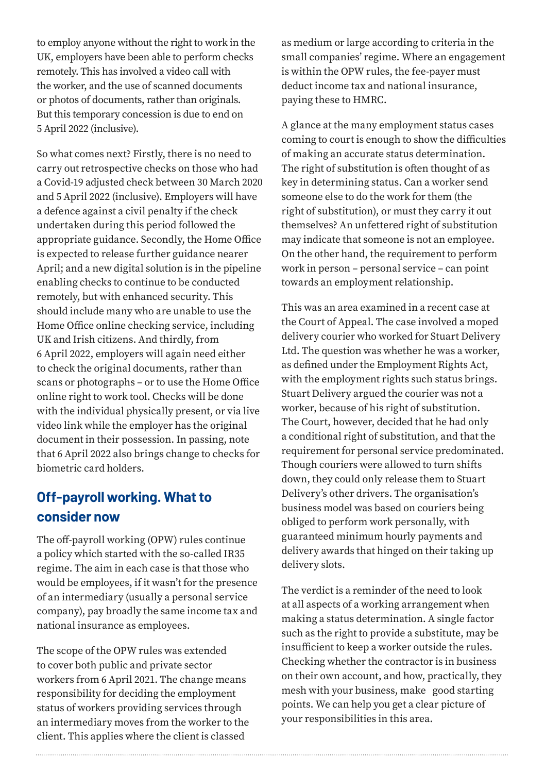to employ anyone without the right to work in the UK, employers have been able to perform checks remotely. This has involved a video call with the worker, and the use of scanned documents or photos of documents, rather than originals. But this temporary concession is due to end on 5 April 2022 (inclusive).

So what comes next? Firstly, there is no need to carry out retrospective checks on those who had a Covid-19 adjusted check between 30 March 2020 and 5 April 2022 (inclusive). Employers will have a defence against a civil penalty if the check undertaken during this period followed the appropriate guidance. Secondly, the Home Office is expected to release further guidance nearer April; and a new digital solution is in the pipeline enabling checks to continue to be conducted remotely, but with enhanced security. This should include many who are unable to use the Home Office online checking service, including UK and Irish citizens. And thirdly, from 6 April 2022, employers will again need either to check the original documents, rather than scans or photographs – or to use the Home Office online right to work tool. Checks will be done with the individual physically present, or via live video link while the employer has the original document in their possession. In passing, note that 6 April 2022 also brings change to checks for biometric card holders.

#### **Off-payroll working. What to consider now**

The off-payroll working (OPW) rules continue a policy which started with the so-called IR35 regime. The aim in each case is that those who would be employees, if it wasn't for the presence of an intermediary (usually a personal service company), pay broadly the same income tax and national insurance as employees.

The scope of the OPW rules was extended to cover both public and private sector workers from 6 April 2021. The change means responsibility for deciding the employment status of workers providing services through an intermediary moves from the worker to the client. This applies where the client is classed

as medium or large according to criteria in the small companies' regime. Where an engagement is within the OPW rules, the fee-payer must deduct income tax and national insurance, paying these to HMRC.

A glance at the many employment status cases coming to court is enough to show the difficulties of making an accurate status determination. The right of substitution is often thought of as key in determining status. Can a worker send someone else to do the work for them (the right of substitution), or must they carry it out themselves? An unfettered right of substitution may indicate that someone is not an employee. On the other hand, the requirement to perform work in person – personal service – can point towards an employment relationship.

This was an area examined in a recent case at the Court of Appeal. The case involved a moped delivery courier who worked for Stuart Delivery Ltd. The question was whether he was a worker, as defined under the Employment Rights Act, with the employment rights such status brings. Stuart Delivery argued the courier was not a worker, because of his right of substitution. The Court, however, decided that he had only a conditional right of substitution, and that the requirement for personal service predominated. Though couriers were allowed to turn shifts down, they could only release them to Stuart Delivery's other drivers. The organisation's business model was based on couriers being obliged to perform work personally, with guaranteed minimum hourly payments and delivery awards that hinged on their taking up delivery slots.

The verdict is a reminder of the need to look at all aspects of a working arrangement when making a status determination. A single factor such as the right to provide a substitute, may be insufficient to keep a worker outside the rules. Checking whether the contractor is in business on their own account, and how, practically, they mesh with your business, make good starting points. We can help you get a clear picture of your responsibilities in this area.